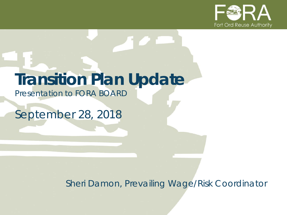

# **Transition Plan Update**

*Presentation to FORA BOARD*

*September 28, 2018*

*Sheri Damon, Prevailing Wage/Risk Coordinator*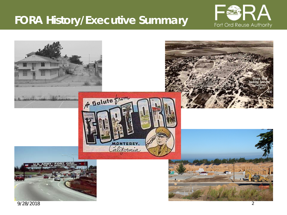### **FORA History/Executive Summary**



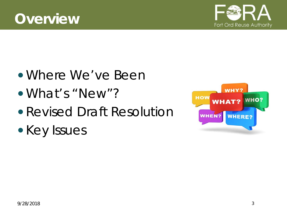



- Where We've Been
- What's "New"?
- Revised Draft Resolution
- Key Issues

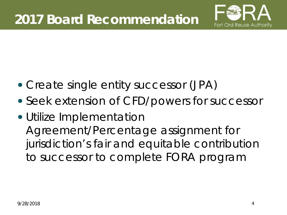

- Create single entity successor (JPA)
- *Seek extension of CFD/powers for successor*
- Utilize Implementation Agreement/Percentage assignment for jurisdiction's fair and equitable contribution to successor to complete FORA program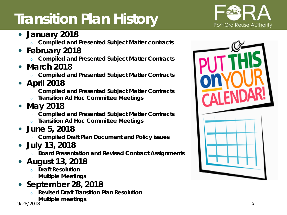## **Transition Plan History**



- **January 2018**
	- <sup>o</sup> **Compiled and Presented Subject Matter contracts**
- **February 2018**
	- <sup>o</sup> **Compiled and Presented Subject Matter Contracts**
- **March 2018**
	- <sup>o</sup> **Compiled and Presented Subject Matter Contracts**
- **April 2018**
	- <sup>o</sup> **Compiled and Presented Subject Matter Contracts**
	- <sup>o</sup> **Transition Ad Hoc Committee Meetings**
- **May 2018**
	- <sup>o</sup> **Compiled and Presented Subject Matter Contracts**
	- <sup>o</sup> **Transition Ad Hoc Committee Meetings**
- **June 5, 2018**
	- <sup>o</sup> **Compiled Draft Plan Document and Policy issues**
- **July 13, 2018**
	- **Board Presentation and Revised Contract Assignments**
- **August 13, 2018**
	- **Draft Resolution**
	- <sup>o</sup> **Multiple Meetings**
- **September 28, 2018**
	- <sup>o</sup> **Revised Draft Transition Plan Resolution**
	- <sup>o</sup> **Multiple meetings**

9/28/2018

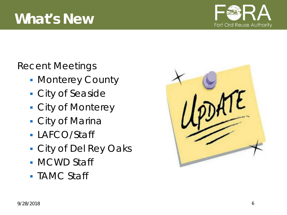

Recent Meetings

- **Monterey County**
- City of Seaside
- City of Monterey
- City of Marina
- LAFCO/Staff
- City of Del Rey Oaks
- **MCWD Staff**
- TAMC Staff

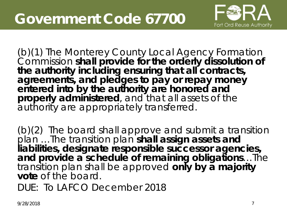

(b)(1) The Monterey County Local Agency Formation Commission **shall provide for the orderly dissolution of the authority including ensuring that all contracts, agreements, and pledges to pay or repay money entered into by the authority are honored and properly administered**, and that all assets of the authority are appropriately transferred.

(b)(2) The board shall approve and submit a transition plan …The transition plan **shall assign assets and liabilities, designate responsible successor agencies, and provide a schedule of remaining obligations**…The transition plan shall be approved **only by a majority vote** of the board.

DUE: To LAFCO December 2018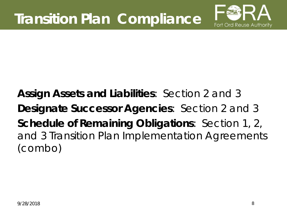

**Assign Assets and Liabilities**: Section 2 and 3 **Designate Successor Agencies**: Section 2 and 3 **Schedule of Remaining Obligations**: Section 1, 2, and 3 Transition Plan Implementation Agreements (combo)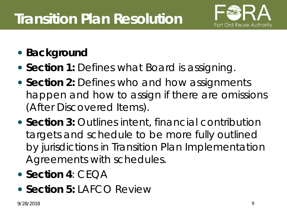## **Transition Plan Resolution**



- **Background**
- **Section 1:** Defines *what* Board is assigning.
- **Section 2:** Defines *who* and *how* assignments happen and *how* to assign if there are omissions (After Discovered Items).
- **Section 3:** Outlines *intent, financial contribution targets* and *schedule* to be more fully outlined by jurisdictions in Transition Plan Implementation Agreements with schedules.
- Section 4: CEOA
- **Section 5: LAFCO Review**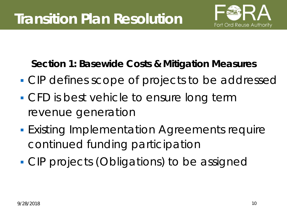

**Section 1: Basewide Costs & Mitigation Measures**

- **CIP defines scope of projects to be addressed**
- **CFD** is best vehicle to ensure long term revenue generation
- **Existing Implementation Agreements require** continued funding participation
- CIP projects (Obligations) to be assigned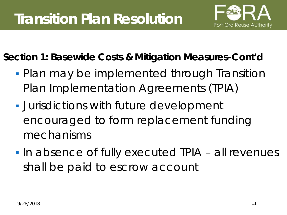

**Section 1: Basewide Costs & Mitigation Measures-Cont'd**

- **Plan may be implemented through Transition** Plan Implementation Agreements (TPIA)
- **Jurisdictions with future development** encouraged to form replacement funding mechanisms
- **In absence of fully executed TPIA all revenues** shall be paid to escrow account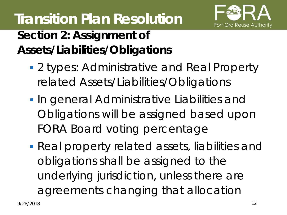

# **Transition Plan Resolution**

### **Section 2: Assignment of Assets/Liabilities/Obligations**

- **2 types: Administrative and Real Property** related Assets/Liabilities/Obligations
- **In general Administrative Liabilities and** Obligations will be assigned based upon FORA Board voting percentage
- Real property related assets, liabilities and obligations shall be assigned to the underlying jurisdiction, unless there are agreements changing that allocation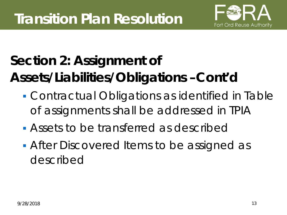

## **Section 2: Assignment of Assets/Liabilities/Obligations –Cont'd**

- Contractual Obligations as identified in Table of assignments shall be addressed in TPIA
- **Assets to be transferred as described**
- **After Discovered Items to be assigned as** described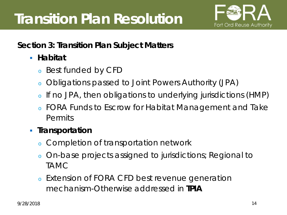

#### **Section 3: Transition Plan Subject Matters**

- **Habitat**
	- <sup>o</sup> Best funded by CFD
	- <sup>o</sup> Obligations passed to Joint Powers Authority (JPA)
	- <sup>o</sup> If no JPA, then obligations to underlying jurisdictions (HMP)
	- FORA Funds to Escrow for Habitat Management and Take Permits

#### **Transportation**

- <sup>o</sup> Completion of transportation network
- <sup>o</sup> On-base projects assigned to jurisdictions; Regional to TAMC
- <sup>o</sup> Extension of FORA CFD best revenue generation mechanism-Otherwise addressed in **TPIA**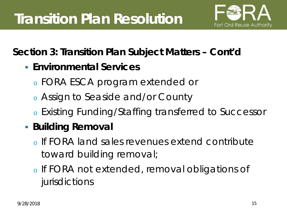

#### **Section 3: Transition Plan Subject Matters – Cont'd**

- **Environmental Services**
	- <sup>o</sup> FORA ESCA program extended or
	- <sup>o</sup> Assign to Seaside and/or County
	- <sup>o</sup> Existing Funding/Staffing transferred to Successor

### **Building Removal**

- <sup>o</sup> If FORA land sales revenues extend contribute toward building removal;
- <sup>o</sup> If FORA not extended, removal obligations of jurisdictions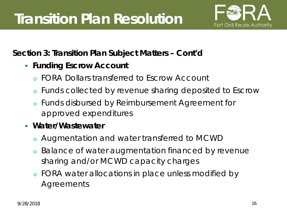

#### **Section 3: Transition Plan Subject Matters – Cont'd**

- **Funding Escrow Account** 
	- <sup>o</sup> FORA Dollars transferred to Escrow Account
	- <sup>o</sup> Funds collected by revenue sharing deposited to Escrow
	- <sup>o</sup> Funds disbursed by Reimbursement Agreement for approved expenditures
- **Water/Wastewater**
	- <sup>o</sup> Augmentation and water transferred to MCWD
	- <sup>o</sup> Balance of water augmentation financed by revenue sharing and/or MCWD capacity charges
	- <sup>o</sup> FORA water allocations in place unless modified by Agreements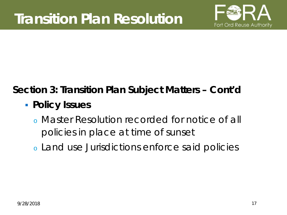

### **Section 3: Transition Plan Subject Matters – Cont'd**

- **Policy Issues**
	- <sup>o</sup> Master Resolution recorded for notice of all policies in place at time of sunset
	- <sup>o</sup> Land use Jurisdictions enforce said policies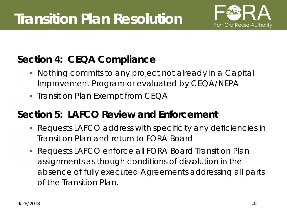

#### **Section 4: CEQA Compliance**

- Nothing commits to any project not already in a Capital Improvement Program or evaluated by CEQA/NEPA
- Transition Plan Exempt from CEQA

#### **Section 5: LAFCO Review and Enforcement**

- Requests LAFCO address with specificity any deficiencies in Transition Plan and return to FORA Board
- Requests LAFCO enforce all FORA Board Transition Plan assignments as though conditions of dissolution in the absence of fully executed Agreements addressing all parts of the Transition Plan.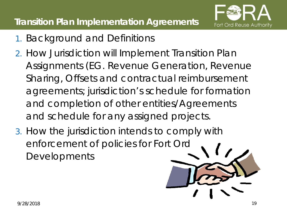

- 1. Background and Definitions
- 2. How Jurisdiction will Implement Transition Plan Assignments (EG. Revenue Generation, Revenue Sharing, Offsets and contractual reimbursement agreements; jurisdiction's schedule for formation and completion of other entities/Agreements and schedule for any assigned projects.
- 3. How the jurisdiction intends to comply with enforcement of policies for Fort Ord **Developments**

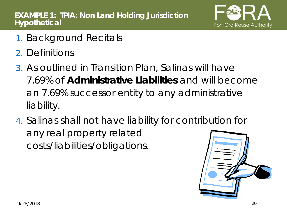

- 1. Background Recitals
- 2. Definitions
- 3. As outlined in Transition Plan, Salinas will have 7.69% of **Administrative Liabilities** and will become an 7.69% successor entity to any administrative liability.
- 4. Salinas shall not have liability for contribution for any real property related costs/liabilities/obligations.

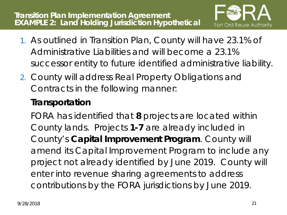

- 1. As outlined in Transition Plan, County will have 23.1% of Administrative Liabilities and will become a 23.1% successor entity to future identified administrative liability.
- 2. County will address Real Property Obligations and Contracts in the following manner:

#### **Transportation**

FORA has identified that **8** projects are located within County lands. Projects **1-7** are already included in County's **Capital Improvement Program**. County will amend its Capital Improvement Program to include any project not already identified by June 2019. County will enter into revenue sharing agreements to address contributions by the FORA jurisdictions by June 2019.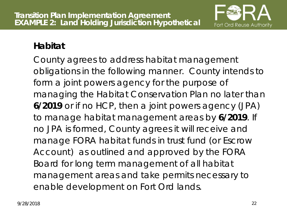

#### **Habitat**

County agrees to address habitat management obligations in the following manner. County intends to form a joint powers agency for the purpose of managing the Habitat Conservation Plan no later than **6/2019** or if no HCP, then a joint powers agency (JPA) to manage habitat management areas by **6/2019**. If no JPA is formed, County agrees it will receive and manage FORA habitat funds in trust fund (or Escrow Account) as outlined and approved by the FORA Board for long term management of all habitat management areas and take permits necessary to enable development on Fort Ord lands.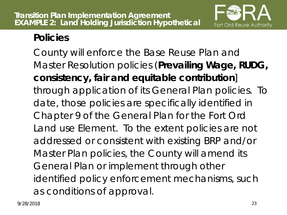

#### **Policies**

County will enforce the Base Reuse Plan and Master Resolution policies (**Prevailing Wage, RUDG, consistency, fair and equitable contribution**] through application of its General Plan policies. To date, those policies are specifically identified in Chapter 9 of the General Plan for the Fort Ord Land use Element. To the extent policies are not addressed or consistent with existing BRP and/or Master Plan policies, the County will amend its General Plan or implement through other identified policy enforcement mechanisms, such as conditions of approval.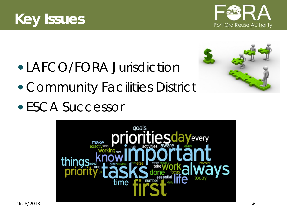



- LAFCO/FORA Jurisdiction
- Community Facilities District
- ESCA Successor



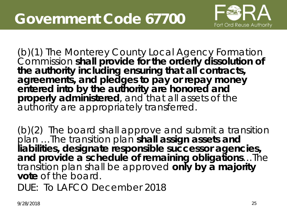

(b)(1) The Monterey County Local Agency Formation Commission **shall provide for the orderly dissolution of the authority including ensuring that all contracts, agreements, and pledges to pay or repay money entered into by the authority are honored and properly administered**, and that all assets of the authority are appropriately transferred.

(b)(2) The board shall approve and submit a transition plan …The transition plan **shall assign assets and liabilities, designate responsible successor agencies, and provide a schedule of remaining obligations**…The transition plan shall be approved **only by a majority vote** of the board.

DUE: To LAFCO December 2018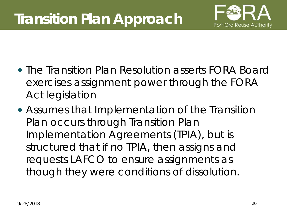

- The Transition Plan Resolution asserts FORA Board exercises assignment power through the FORA Act legislation
- Assumes that Implementation of the Transition Plan occurs through Transition Plan Implementation Agreements (TPIA), but is structured that if no TPIA, then assigns and requests LAFCO to ensure assignments as though they were conditions of dissolution.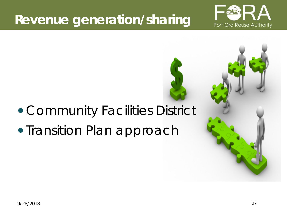## **Revenue generation/sharing**



## Community Facilities District

## • Transition Plan approach

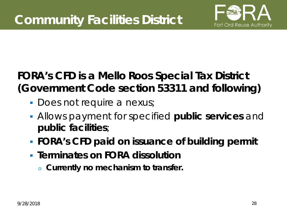

### **FORA's CFD is a Mello Roos Special Tax District (Government Code section 53311 and following)**

- **Does not require a nexus;**
- Allows payment for specified **public services** and **public facilities**;
- **FORA's CFD paid on issuance of building permit**
- **Terminates on FORA dissolution**
	- <sup>o</sup> **Currently no mechanism to transfer.**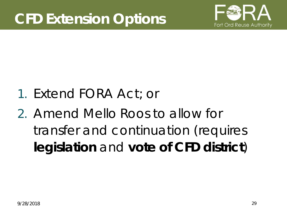

- 1. Extend FORA Act; or
- 2. Amend Mello Roos to allow for transfer and continuation (requires **legislation** and **vote of CFD district**)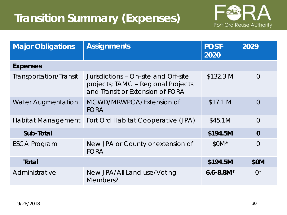### **Transition Summary (Expenses)**



| <b>Major Obligations</b>  | <b>Assignments</b>                                                                                             | <b>POST-</b><br>2020 | 2029           |
|---------------------------|----------------------------------------------------------------------------------------------------------------|----------------------|----------------|
| <b>Expenses</b>           |                                                                                                                |                      |                |
| Transportation/Transit    | Jurisdictions - On-site and Off-site<br>projects; TAMC - Regional Projects<br>and Transit or Extension of FORA | \$132.3 M            | $\Omega$       |
| <b>Water Augmentation</b> | MCWD/MRWPCA/Extension of<br><b>FORA</b>                                                                        | \$17.1 M             | $\Omega$       |
| Habitat Management        | Fort Ord Habitat Cooperative (JPA)                                                                             | \$45.1M              | $\overline{0}$ |
| Sub-Total                 |                                                                                                                | \$194.5M             | $\Omega$       |
| <b>ESCA Program</b>       | New JPA or County or extension of<br><b>FORA</b>                                                               | $$0M*$               | $\overline{O}$ |
| Total                     |                                                                                                                | \$194.5M             | \$0M           |
| Administrative            | New JPA/All Land use/Voting<br>Members?                                                                        | $6.6 - 8.8M*$        | $()^*$         |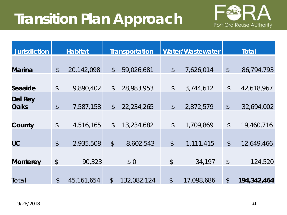## **Transition Plan Approach**



| <b>Jurisdiction</b>    | <b>Habitat</b> |              | <b>Transportation</b>     |             | Water/Wastewater          |            | <b>Total</b>   |             |
|------------------------|----------------|--------------|---------------------------|-------------|---------------------------|------------|----------------|-------------|
|                        |                |              |                           |             |                           |            |                |             |
| <b>Marina</b>          | $\frac{1}{2}$  | 20,142,098   | $\frac{1}{2}$             | 59,026,681  | $\frac{1}{2}$             | 7,626,014  | $\updownarrow$ | 86,794,793  |
|                        |                |              |                           |             |                           |            |                |             |
| Seaside                | $\frac{1}{2}$  | 9,890,402    | $\mathcal{L}$             | 28,983,953  | $\frac{1}{2}$             | 3,744,612  | $\frac{1}{2}$  | 42,618,967  |
| Del Rey<br><b>Oaks</b> | $\frac{1}{2}$  | 7,587,158    | $\mathcal{L}$             | 22,234,265  | $\sqrt[6]{}$              | 2,872,579  | $\oint$        | 32,694,002  |
| County                 | $\frac{1}{2}$  | 4,516,165    | $\frac{1}{2}$             | 13,234,682  | $\frac{1}{2}$             | 1,709,869  | $\frac{1}{2}$  | 19,460,716  |
| UC                     | $\frac{1}{2}$  | 2,935,508    | $\boldsymbol{\mathsf{S}}$ | 8,602,543   | $\boldsymbol{\mathsf{S}}$ | 1,111,415  | $\oint$        | 12,649,466  |
| <b>Monterey</b>        | \$             | 90,323       |                           | \$0         | $\frac{1}{2}$             | 34,197     | $\frac{1}{2}$  | 124,520     |
| Total                  | $\frac{1}{2}$  | 45, 161, 654 | $\boldsymbol{\beta}$      | 132,082,124 | $\frac{1}{2}$             | 17,098,686 | $\frac{1}{2}$  | 194,342,464 |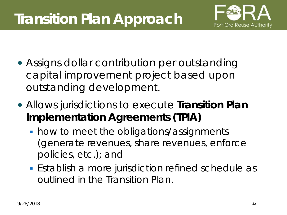## **Transition Plan Approach**



- Assigns dollar contribution per outstanding capital improvement project based upon outstanding development.
- Allows jurisdictions to execute **Transition Plan Implementation Agreements (TPIA)**
	- how to meet the obligations/assignments (generate revenues, share revenues, enforce policies, etc.); and
	- Establish a more jurisdiction refined schedule as outlined in the Transition Plan.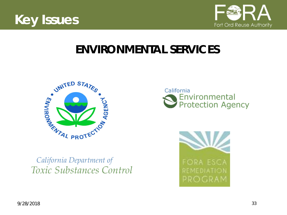



### **ENVIRONMENTAL SERVICES**





California Department of Toxic Substances Control

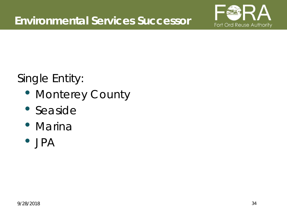

### Single Entity:

- Monterey County
- Seaside
- Marina
- JPA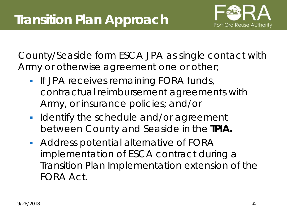

County/Seaside form ESCA JPA as single contact with Army or otherwise agreement one or other;

- **If JPA receives remaining FORA funds,** contractual reimbursement agreements with Army, or insurance policies; and/or
- **In Identify the schedule and/or agreement** between County and Seaside in the **TPIA.**
- **Address potential alternative of FORA** implementation of ESCA contract during a Transition Plan Implementation extension of the FORA Act.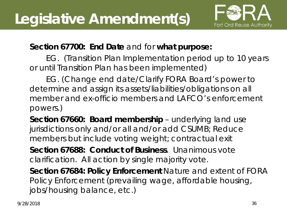

#### **Section 67700: End Date** and for **what purpose:**

EG. (Transition Plan Implementation period up to 10 years or until Transition Plan has been implemented)

EG. (Change end date/Clarify FORA Board's power to determine and assign its assets/liabilities/obligations on all member and ex-officio members and LAFCO's enforcement powers.)

**Section 67660: Board membership** – underlying land use jurisdictions only and/or all and/or add CSUMB; Reduce members but include voting weight; contractual exit

**Section 67688: Conduct of Business**. Unanimous vote clarification. All action by single majority vote.

**Section 67684: Policy Enforcement** Nature and extent of FORA Policy Enforcement (prevailing wage, affordable housing, jobs/housing balance, etc.)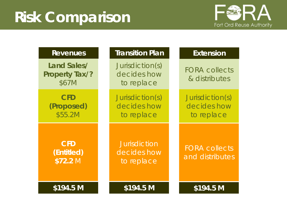

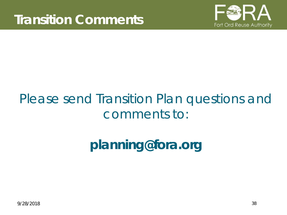

## Please send Transition Plan questions and comments to:

## **planning@fora.org**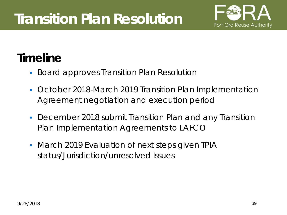

### **Timeline**

- **Board approves Transition Plan Resolution**
- October 2018-March 2019 Transition Plan Implementation Agreement negotiation and execution period
- December 2018 submit Transition Plan and any Transition Plan Implementation Agreements to LAFCO
- March 2019 Evaluation of next steps given TPIA status/Jurisdiction/unresolved Issues